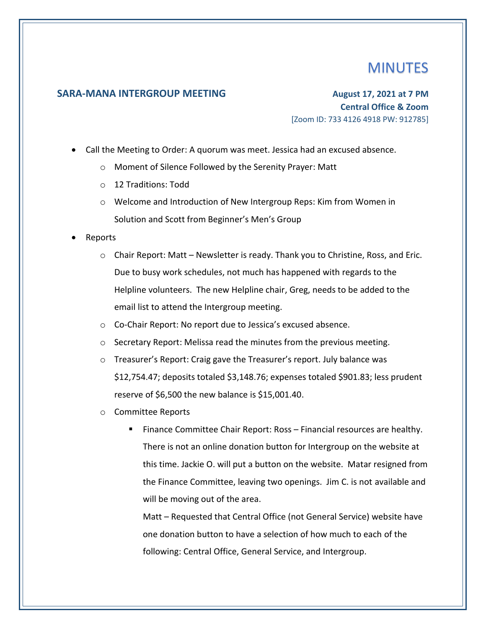## **MINUTES**

## **SARA-MANA INTERGROUP MEETING August 17, 2021 at 7 PM**

**Central Office & Zoom** [Zoom ID: 733 4126 4918 PW: 912785]

- Call the Meeting to Order: A quorum was meet. Jessica had an excused absence.
	- o Moment of Silence Followed by the Serenity Prayer: Matt
	- o 12 Traditions: Todd
	- o Welcome and Introduction of New Intergroup Reps: Kim from Women in Solution and Scott from Beginner's Men's Group
- Reports
	- $\circ$  Chair Report: Matt Newsletter is ready. Thank you to Christine, Ross, and Eric. Due to busy work schedules, not much has happened with regards to the Helpline volunteers. The new Helpline chair, Greg, needs to be added to the email list to attend the Intergroup meeting.
	- o Co-Chair Report: No report due to Jessica's excused absence.
	- o Secretary Report: Melissa read the minutes from the previous meeting.
	- o Treasurer's Report: Craig gave the Treasurer's report. July balance was \$12,754.47; deposits totaled \$3,148.76; expenses totaled \$901.83; less prudent reserve of \$6,500 the new balance is \$15,001.40.
	- o Committee Reports
		- Finance Committee Chair Report: Ross Financial resources are healthy. There is not an online donation button for Intergroup on the website at this time. Jackie O. will put a button on the website. Matar resigned from the Finance Committee, leaving two openings. Jim C. is not available and will be moving out of the area.

Matt – Requested that Central Office (not General Service) website have one donation button to have a selection of how much to each of the following: Central Office, General Service, and Intergroup.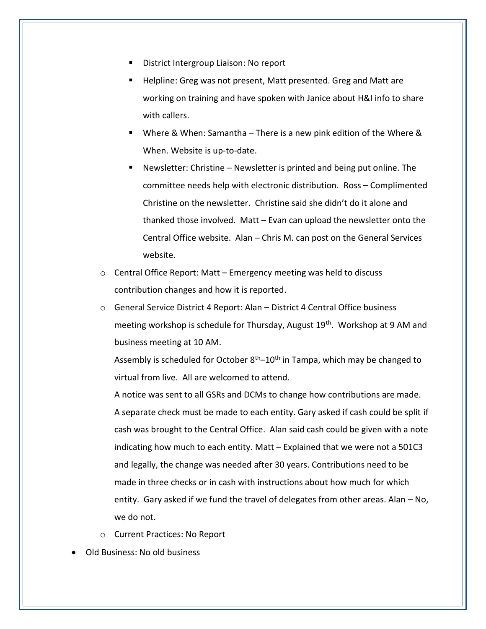- District Intergroup Liaison: No report
- Helpline: Greg was not present, Matt presented. Greg and Matt are working on training and have spoken with Janice about H&I info to share with callers.
- Where & When: Samantha There is a new pink edition of the Where & When. Website is up-to-date.
- **E** Newsletter: Christine Newsletter is printed and being put online. The committee needs help with electronic distribution. Ross – Complimented Christine on the newsletter. Christine said she didn't do it alone and thanked those involved. Matt – Evan can upload the newsletter onto the Central Office website. Alan – Chris M. can post on the General Services website.
- $\circ$  Central Office Report: Matt Emergency meeting was held to discuss contribution changes and how it is reported.
- o General Service District 4 Report: Alan District 4 Central Office business meeting workshop is schedule for Thursday, August 19<sup>th</sup>. Workshop at 9 AM and business meeting at 10 AM.

Assembly is scheduled for October  $8<sup>th</sup>-10<sup>th</sup>$  in Tampa, which may be changed to virtual from live. All are welcomed to attend.

A notice was sent to all GSRs and DCMs to change how contributions are made. A separate check must be made to each entity. Gary asked if cash could be split if cash was brought to the Central Office. Alan said cash could be given with a note indicating how much to each entity. Matt – Explained that we were not a 501C3 and legally, the change was needed after 30 years. Contributions need to be made in three checks or in cash with instructions about how much for which entity. Gary asked if we fund the travel of delegates from other areas. Alan – No, we do not.

- o Current Practices: No Report
- Old Business: No old business